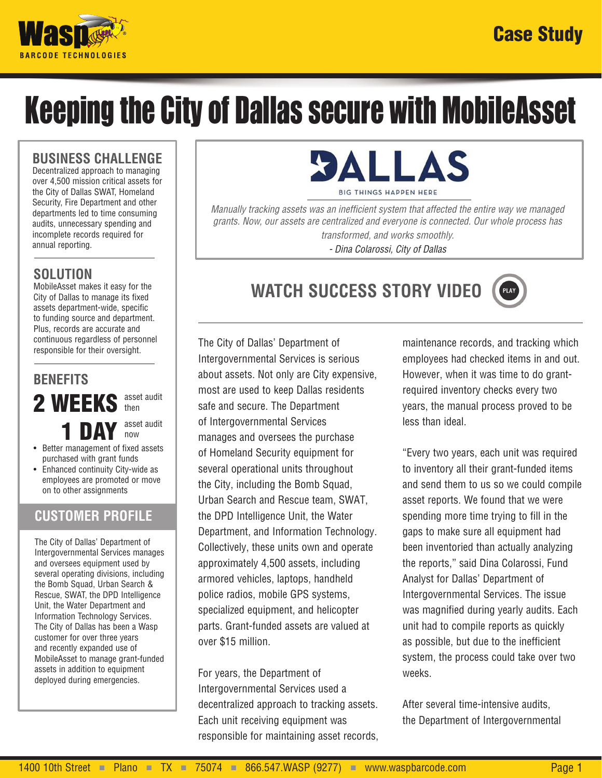

# Keeping the City of Dallas secure with MobileAsset

#### **BUSINESS CHALLENGE**

Decentralized approach to managing over 4,500 mission critical assets for the City of Dallas SWAT, Homeland Security, Fire Department and other departments led to time consuming audits, unnecessary spending and incomplete records required for annual reporting.

### **SOLUTION**

MobileAsset makes it easy for the City of Dallas to manage its fixed assets department-wide, specific to funding source and department. Plus, records are accurate and continuous regardless of personnel responsible for their oversight.

# **BENEFITS**

2 WEEK asset audit then

1 DAY asset audit now

- Better management of fixed assets purchased with grant funds
- Enhanced continuity City-wide as employees are promoted or move on to other assignments

## **CUSTOMER PROFILE**

The City of Dallas' Department of Intergovernmental Services manages and oversees equipment used by several operating divisions, including the Bomb Squad, Urban Search & Rescue, SWAT, the DPD Intelligence Unit, the Water Department and Information Technology Services. The City of Dallas has been a Wasp customer for over three years and recently expanded use of MobileAsset to manage grant-funded assets in addition to equipment deployed during emergencies.



*Manually tracking assets was an inefficient system that affected the entire way we managed grants. Now, our assets are centralized and everyone is connected. Our whole process has transformed, and works smoothly.* 

*- Dina Colarossi, City of Dallas*



The City of Dallas' Department of Intergovernmental Services is serious about assets. Not only are City expensive, most are used to keep Dallas residents safe and secure. The Department of Intergovernmental Services manages and oversees the purchase of Homeland Security equipment for several operational units throughout the City, including the Bomb Squad, Urban Search and Rescue team, SWAT, the DPD Intelligence Unit, the Water Department, and Information Technology. Collectively, these units own and operate approximately 4,500 assets, including armored vehicles, laptops, handheld police radios, mobile GPS systems, specialized equipment, and helicopter parts. Grant-funded assets are valued at over \$15 million.

For years, the Department of Intergovernmental Services used a decentralized approach to tracking assets. Each unit receiving equipment was responsible for maintaining asset records,

maintenance records, and tracking which employees had checked items in and out. However, when it was time to do grantrequired inventory checks every two years, the manual process proved to be less than ideal.

"Every two years, each unit was required to inventory all their grant-funded items and send them to us so we could compile asset reports. We found that we were spending more time trying to fill in the gaps to make sure all equipment had been inventoried than actually analyzing the reports," said Dina Colarossi, Fund Analyst for Dallas' Department of Intergovernmental Services. The issue was magnified during yearly audits. Each unit had to compile reports as quickly as possible, but due to the inefficient system, the process could take over two weeks.

After several time-intensive audits, the Department of Intergovernmental